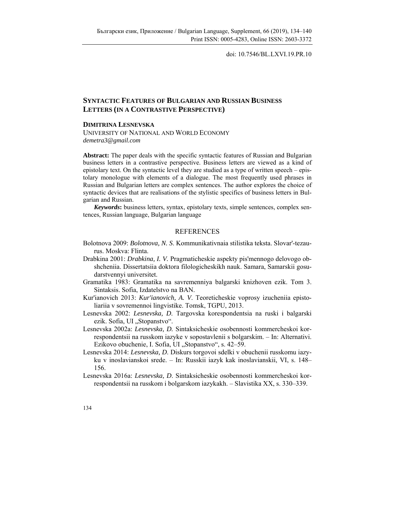doi: 10.7546/BL.LXVI.19.PR.10

## **SYNTACTIC FEATURES OF BULGARIAN AND RUSSIAN BUSINESS LETTERS (IN A CONTRASTIVE PERSPECTIVE)**

## **DIMITRINA LESNEVSKA**

UNIVERSITY OF NATIONAL AND WORLD ECONOMY *demetra3@gmail.com* 

**Abstract:** The paper deals with the specific syntactic features of Russian and Bulgarian business letters in a contrastive perspective. Business letters are viewed as a kind of epistolary text. On the syntactic level they are studied as a type of written speech – epistolary monologue with elements of a dialogue. The most frequently used phrases in Russian and Bulgarian letters are complex sentences. The author explores the choice of syntactic devices that are realisations of the stylistic specifics of business letters in Bulgarian and Russian.

*Keywords***:** business letters, syntax, epistolary texts, simple sentences, complex sentences, Russian language, Bulgarian language

## REFERENCES

- Bolotnova 2009: *Bolotnova, N. S*. Kommunikativnaia stilistika teksta. Slovar'-tezaurus. Moskva: Flinta.
- Drabkina 2001: *Drabkina, I. V.* Pragmaticheskie aspekty pis'mennogo delovogo obshcheniia. Dissertatsiia doktora filologicheskikh nauk. Samara, Samarskii gosudarstvennyi universitet.
- Gramatika 1983: Gramatika na savremenniya balgarski knizhoven ezik. Tom 3. Sintaksis. Sofia, Izdatelstvo na BAN.
- Kur'ianovich 2013: *Kur'ianovich, A. V*. Teoreticheskie voprosy izucheniia epistoliariia v sovremennoi lingvistike. Tomsk, TGPU, 2013.
- Lesnevska 2002: *Lesnevska, D*. Targovska korespondentsia na ruski i balgarski ezik. Sofia, UI "Stopanstvo".
- Lesnevska 2002a: *Lesnevska, D.* Sintaksicheskie osobennosti kommercheskoi korrespondentsii na russkom iazyke v sopostavlenii s bolgarskim. – In: Alternativi. Ezikovo obuchenie, I. Sofia, UI "Stopanstvo", s. 42–59.
- Lesnevska 2014: *Lesnevska, D*. Diskurs torgovoi sdelki v obuchenii russkomu iazyku v inoslavianskoi srede. – In: Russkii iazyk kak inoslavianskii, VI, s. 148– 156.
- Lesnevska 2016a: *Lesnevska, D*. Sintaksicheskie osobennosti kommercheskoi korrespondentsii na russkom i bolgarskom iazykakh. – Slavistika XX, s. 330–339.
- 134